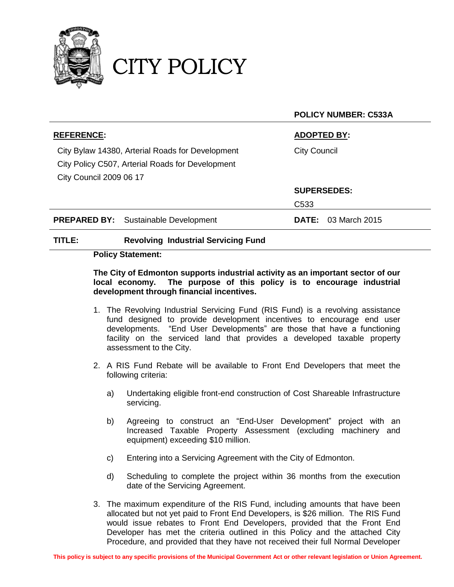

CITY POLICY

|                                                  | <b>POLICY NUMBER: C533A</b> |
|--------------------------------------------------|-----------------------------|
| <b>REFERENCE:</b>                                | <b>ADOPTED BY:</b>          |
| City Bylaw 14380, Arterial Roads for Development | <b>City Council</b>         |
| City Policy C507, Arterial Roads for Development |                             |
| <b>City Council 2009 06 17</b>                   |                             |
|                                                  | <b>SUPERSEDES:</b>          |
|                                                  | C <sub>533</sub>            |
| <b>PREPARED BY:</b> Sustainable Development      | <b>DATE:</b> 03 March 2015  |
|                                                  |                             |

#### **TITLE: Revolving Industrial Servicing Fund**

### **Policy Statement:**

### **The City of Edmonton supports industrial activity as an important sector of our local economy. The purpose of this policy is to encourage industrial development through financial incentives.**

- 1. The Revolving Industrial Servicing Fund (RIS Fund) is a revolving assistance fund designed to provide development incentives to encourage end user developments. "End User Developments" are those that have a functioning facility on the serviced land that provides a developed taxable property assessment to the City.
- 2. A RIS Fund Rebate will be available to Front End Developers that meet the following criteria:
	- a) Undertaking eligible front-end construction of Cost Shareable Infrastructure servicing.
	- b) Agreeing to construct an "End-User Development" project with an Increased Taxable Property Assessment (excluding machinery and equipment) exceeding \$10 million.
	- c) Entering into a Servicing Agreement with the City of Edmonton.
	- d) Scheduling to complete the project within 36 months from the execution date of the Servicing Agreement.
- 3. The maximum expenditure of the RIS Fund, including amounts that have been allocated but not yet paid to Front End Developers, is \$26 million. The RIS Fund would issue rebates to Front End Developers, provided that the Front End Developer has met the criteria outlined in this Policy and the attached City Procedure, and provided that they have not received their full Normal Developer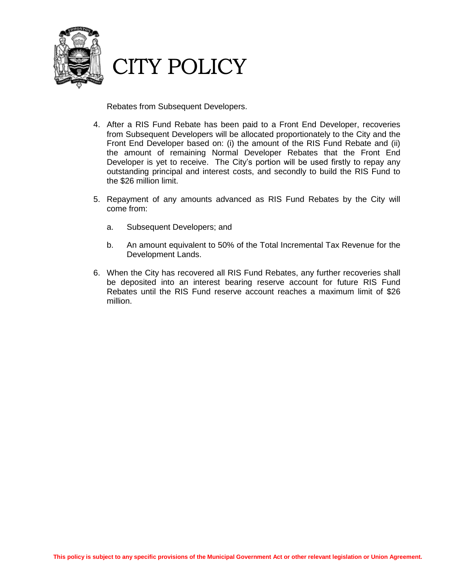

# CITY POLICY

Rebates from Subsequent Developers.

- 4. After a RIS Fund Rebate has been paid to a Front End Developer, recoveries from Subsequent Developers will be allocated proportionately to the City and the Front End Developer based on: (i) the amount of the RIS Fund Rebate and (ii) the amount of remaining Normal Developer Rebates that the Front End Developer is yet to receive. The City's portion will be used firstly to repay any outstanding principal and interest costs, and secondly to build the RIS Fund to the \$26 million limit.
- 5. Repayment of any amounts advanced as RIS Fund Rebates by the City will come from:
	- a. Subsequent Developers; and
	- b. An amount equivalent to 50% of the Total Incremental Tax Revenue for the Development Lands.
- 6. When the City has recovered all RIS Fund Rebates, any further recoveries shall be deposited into an interest bearing reserve account for future RIS Fund Rebates until the RIS Fund reserve account reaches a maximum limit of \$26 million.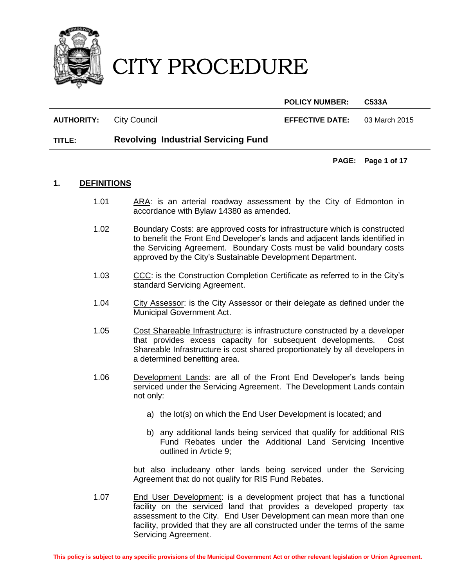

**POLICY NUMBER: C533A**

**AUTHORITY:** City Council **EFFECTIVE DATE:** 03 March 2015

## **TITLE: Revolving Industrial Servicing Fund**

**PAGE: Page 1 of 17**

#### **1. DEFINITIONS**

- 1.01 ARA: is an arterial roadway assessment by the City of Edmonton in accordance with Bylaw 14380 as amended.
- 1.02 Boundary Costs: are approved costs for infrastructure which is constructed to benefit the Front End Developer's lands and adjacent lands identified in the Servicing Agreement. Boundary Costs must be valid boundary costs approved by the City's Sustainable Development Department.
- 1.03 CCC: is the Construction Completion Certificate as referred to in the City's standard Servicing Agreement.
- 1.04 City Assessor: is the City Assessor or their delegate as defined under the Municipal Government Act.
- 1.05 Cost Shareable Infrastructure: is infrastructure constructed by a developer that provides excess capacity for subsequent developments. Cost Shareable Infrastructure is cost shared proportionately by all developers in a determined benefiting area.
- 1.06 Development Lands: are all of the Front End Developer's lands being serviced under the Servicing Agreement. The Development Lands contain not only:
	- a) the lot(s) on which the End User Development is located; and
	- b) any additional lands being serviced that qualify for additional RIS Fund Rebates under the Additional Land Servicing Incentive outlined in Article 9;

but also includeany other lands being serviced under the Servicing Agreement that do not qualify for RIS Fund Rebates.

1.07 End User Development: is a development project that has a functional facility on the serviced land that provides a developed property tax assessment to the City. End User Development can mean more than one facility, provided that they are all constructed under the terms of the same Servicing Agreement.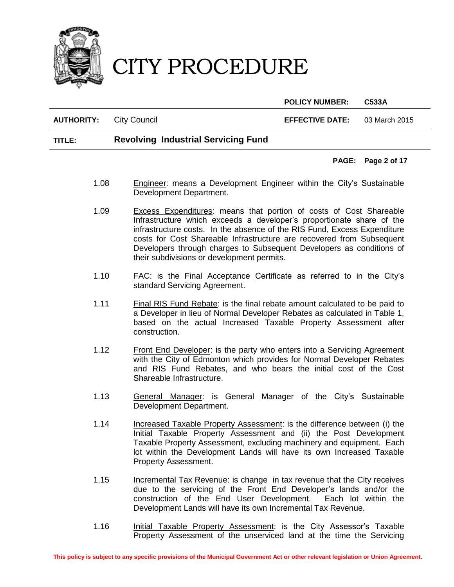

**POLICY NUMBER: C533A**

**AUTHORITY:** City Council **EFFECTIVE DATE:** 03 March 2015

### **TITLE: Revolving Industrial Servicing Fund**

#### **PAGE: Page 2 of 17**

- 1.08 **Engineer:** means a Development Engineer within the City's Sustainable Development Department.
- 1.09 Excess Expenditures: means that portion of costs of Cost Shareable Infrastructure which exceeds a developer's proportionate share of the infrastructure costs. In the absence of the RIS Fund, Excess Expenditure costs for Cost Shareable Infrastructure are recovered from Subsequent Developers through charges to Subsequent Developers as conditions of their subdivisions or development permits.
- 1.10 **FAC:** is the Final Acceptance Certificate as referred to in the City's standard Servicing Agreement.
- 1.11 Final RIS Fund Rebate: is the final rebate amount calculated to be paid to a Developer in lieu of Normal Developer Rebates as calculated in Table 1, based on the actual Increased Taxable Property Assessment after construction.
- 1.12 Front End Developer: is the party who enters into a Servicing Agreement with the City of Edmonton which provides for Normal Developer Rebates and RIS Fund Rebates, and who bears the initial cost of the Cost Shareable Infrastructure.
- 1.13 General Manager: is General Manager of the City's Sustainable Development Department.
- 1.14 Increased Taxable Property Assessment: is the difference between (i) the Initial Taxable Property Assessment and (ii) the Post Development Taxable Property Assessment, excluding machinery and equipment. Each lot within the Development Lands will have its own Increased Taxable Property Assessment.
- 1.15 Incremental Tax Revenue: is change in tax revenue that the City receives due to the servicing of the Front End Developer's lands and/or the construction of the End User Development. Each lot within the Development Lands will have its own Incremental Tax Revenue.
- 1.16 Initial Taxable Property Assessment: is the City Assessor's Taxable Property Assessment of the unserviced land at the time the Servicing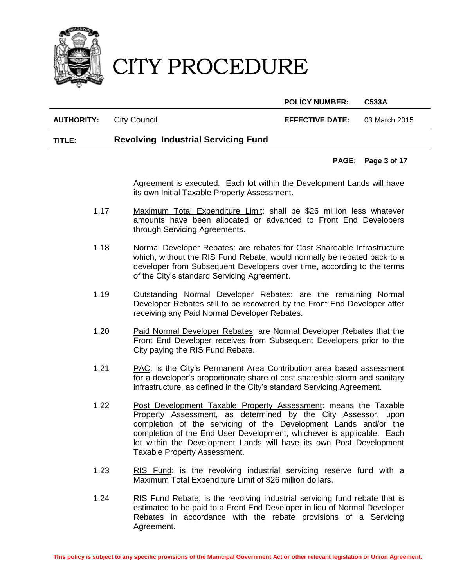

**POLICY NUMBER: C533A**

#### **AUTHORITY:** City Council **EFFECTIVE DATE:** 03 March 2015

### **TITLE: Revolving Industrial Servicing Fund**

#### **PAGE: Page 3 of 17**

Agreement is executed. Each lot within the Development Lands will have its own Initial Taxable Property Assessment.

- 1.17 Maximum Total Expenditure Limit: shall be \$26 million less whatever amounts have been allocated or advanced to Front End Developers through Servicing Agreements.
- 1.18 Normal Developer Rebates: are rebates for Cost Shareable Infrastructure which, without the RIS Fund Rebate, would normally be rebated back to a developer from Subsequent Developers over time, according to the terms of the City's standard Servicing Agreement.
- 1.19 Outstanding Normal Developer Rebates: are the remaining Normal Developer Rebates still to be recovered by the Front End Developer after receiving any Paid Normal Developer Rebates.
- 1.20 Paid Normal Developer Rebates: are Normal Developer Rebates that the Front End Developer receives from Subsequent Developers prior to the City paying the RIS Fund Rebate.
- 1.21 PAC: is the City's Permanent Area Contribution area based assessment for a developer's proportionate share of cost shareable storm and sanitary infrastructure, as defined in the City's standard Servicing Agreement.
- 1.22 Post Development Taxable Property Assessment: means the Taxable Property Assessment, as determined by the City Assessor, upon completion of the servicing of the Development Lands and/or the completion of the End User Development, whichever is applicable. Each lot within the Development Lands will have its own Post Development Taxable Property Assessment.
- 1.23 RIS Fund: is the revolving industrial servicing reserve fund with a Maximum Total Expenditure Limit of \$26 million dollars.
- 1.24 RIS Fund Rebate: is the revolving industrial servicing fund rebate that is estimated to be paid to a Front End Developer in lieu of Normal Developer Rebates in accordance with the rebate provisions of a Servicing Agreement.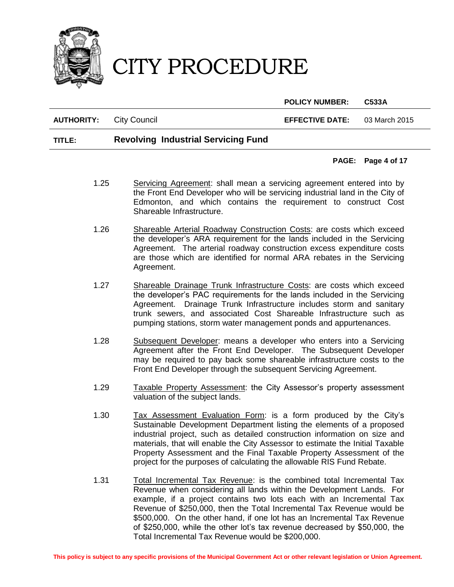

**POLICY NUMBER: C533A**

**AUTHORITY:** City Council **EFFECTIVE DATE:** 03 March 2015

### **TITLE: Revolving Industrial Servicing Fund**

#### **PAGE: Page 4 of 17**

- 1.25 Servicing Agreement: shall mean a servicing agreement entered into by the Front End Developer who will be servicing industrial land in the City of Edmonton, and which contains the requirement to construct Cost Shareable Infrastructure.
- 1.26 Shareable Arterial Roadway Construction Costs: are costs which exceed the developer's ARA requirement for the lands included in the Servicing Agreement. The arterial roadway construction excess expenditure costs are those which are identified for normal ARA rebates in the Servicing Agreement.
- 1.27 Shareable Drainage Trunk Infrastructure Costs: are costs which exceed the developer's PAC requirements for the lands included in the Servicing Agreement. Drainage Trunk Infrastructure includes storm and sanitary trunk sewers, and associated Cost Shareable Infrastructure such as pumping stations, storm water management ponds and appurtenances.
- 1.28 Subsequent Developer: means a developer who enters into a Servicing Agreement after the Front End Developer. The Subsequent Developer may be required to pay back some shareable infrastructure costs to the Front End Developer through the subsequent Servicing Agreement.
- 1.29 Taxable Property Assessment: the City Assessor's property assessment valuation of the subject lands.
- 1.30 Tax Assessment Evaluation Form: is a form produced by the City's Sustainable Development Department listing the elements of a proposed industrial project, such as detailed construction information on size and materials, that will enable the City Assessor to estimate the Initial Taxable Property Assessment and the Final Taxable Property Assessment of the project for the purposes of calculating the allowable RIS Fund Rebate.
- 1.31 Total Incremental Tax Revenue: is the combined total Incremental Tax Revenue when considering all lands within the Development Lands. For example, if a project contains two lots each with an Incremental Tax Revenue of \$250,000, then the Total Incremental Tax Revenue would be \$500,000. On the other hand, if one lot has an Incremental Tax Revenue of \$250,000, while the other lot's tax revenue decreased by \$50,000, the Total Incremental Tax Revenue would be \$200,000.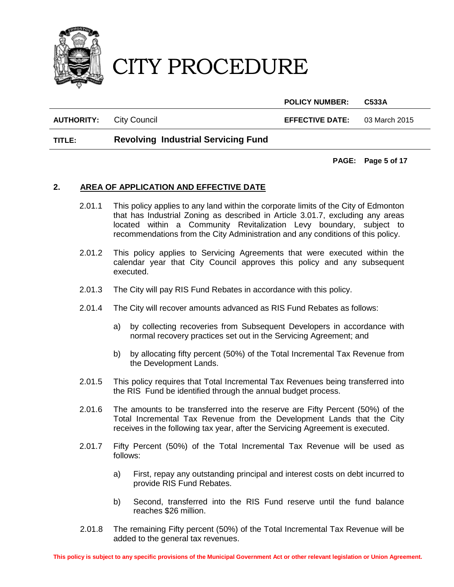

**POLICY NUMBER: C533A**

**AUTHORITY:** City Council **EFFECTIVE DATE:** 03 March 2015

### **TITLE: Revolving Industrial Servicing Fund**

**PAGE: Page 5 of 17**

### **2. AREA OF APPLICATION AND EFFECTIVE DATE**

- 2.01.1 This policy applies to any land within the corporate limits of the City of Edmonton that has Industrial Zoning as described in Article 3.01.7, excluding any areas located within a Community Revitalization Levy boundary, subject to recommendations from the City Administration and any conditions of this policy.
- 2.01.2 This policy applies to Servicing Agreements that were executed within the calendar year that City Council approves this policy and any subsequent executed.
- 2.01.3 The City will pay RIS Fund Rebates in accordance with this policy.
- 2.01.4 The City will recover amounts advanced as RIS Fund Rebates as follows:
	- a) by collecting recoveries from Subsequent Developers in accordance with normal recovery practices set out in the Servicing Agreement; and
	- b) by allocating fifty percent (50%) of the Total Incremental Tax Revenue from the Development Lands.
- 2.01.5 This policy requires that Total Incremental Tax Revenues being transferred into the RIS Fund be identified through the annual budget process.
- 2.01.6 The amounts to be transferred into the reserve are Fifty Percent (50%) of the Total Incremental Tax Revenue from the Development Lands that the City receives in the following tax year, after the Servicing Agreement is executed.
- 2.01.7 Fifty Percent (50%) of the Total Incremental Tax Revenue will be used as follows:
	- a) First, repay any outstanding principal and interest costs on debt incurred to provide RIS Fund Rebates.
	- b) Second, transferred into the RIS Fund reserve until the fund balance reaches \$26 million.
- 2.01.8 The remaining Fifty percent (50%) of the Total Incremental Tax Revenue will be added to the general tax revenues.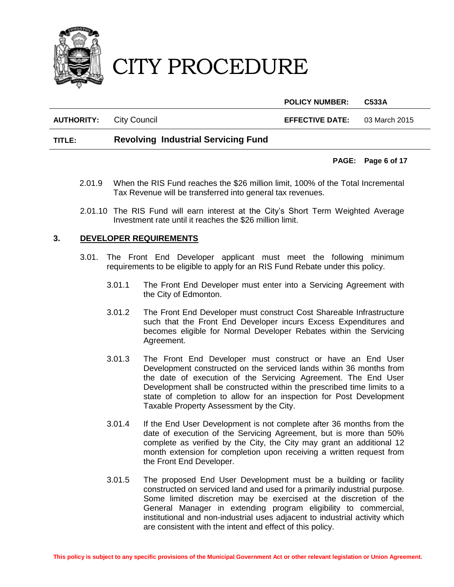

**POLICY NUMBER: C533A**

**AUTHORITY:** City Council **EFFECTIVE DATE:** 03 March 2015

### **TITLE: Revolving Industrial Servicing Fund**

#### **PAGE: Page 6 of 17**

- 2.01.9 When the RIS Fund reaches the \$26 million limit, 100% of the Total Incremental Tax Revenue will be transferred into general tax revenues.
- 2.01.10 The RIS Fund will earn interest at the City's Short Term Weighted Average Investment rate until it reaches the \$26 million limit.

#### **3. DEVELOPER REQUIREMENTS**

- 3.01. The Front End Developer applicant must meet the following minimum requirements to be eligible to apply for an RIS Fund Rebate under this policy.
	- 3.01.1 The Front End Developer must enter into a Servicing Agreement with the City of Edmonton.
	- 3.01.2 The Front End Developer must construct Cost Shareable Infrastructure such that the Front End Developer incurs Excess Expenditures and becomes eligible for Normal Developer Rebates within the Servicing Agreement.
	- 3.01.3 The Front End Developer must construct or have an End User Development constructed on the serviced lands within 36 months from the date of execution of the Servicing Agreement. The End User Development shall be constructed within the prescribed time limits to a state of completion to allow for an inspection for Post Development Taxable Property Assessment by the City.
	- 3.01.4 If the End User Development is not complete after 36 months from the date of execution of the Servicing Agreement, but is more than 50% complete as verified by the City, the City may grant an additional 12 month extension for completion upon receiving a written request from the Front End Developer.
	- 3.01.5 The proposed End User Development must be a building or facility constructed on serviced land and used for a primarily industrial purpose. Some limited discretion may be exercised at the discretion of the General Manager in extending program eligibility to commercial, institutional and non-industrial uses adjacent to industrial activity which are consistent with the intent and effect of this policy.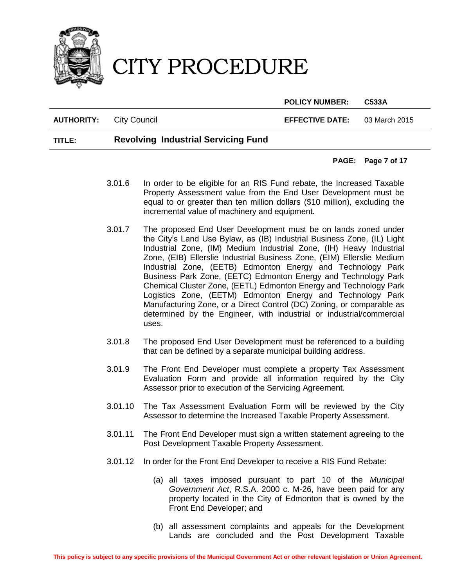

**POLICY NUMBER: C533A**

**AUTHORITY:** City Council **EFFECTIVE DATE:** 03 March 2015

### **TITLE: Revolving Industrial Servicing Fund**

#### **PAGE: Page 7 of 17**

- 3.01.6 In order to be eligible for an RIS Fund rebate, the Increased Taxable Property Assessment value from the End User Development must be equal to or greater than ten million dollars (\$10 million), excluding the incremental value of machinery and equipment.
- 3.01.7 The proposed End User Development must be on lands zoned under the City's Land Use Bylaw, as (IB) Industrial Business Zone, (IL) Light Industrial Zone, (IM) Medium Industrial Zone, (IH) Heavy Industrial Zone, (EIB) Ellerslie Industrial Business Zone, (EIM) Ellerslie Medium Industrial Zone, (EETB) Edmonton Energy and Technology Park Business Park Zone, (EETC) Edmonton Energy and Technology Park Chemical Cluster Zone, (EETL) Edmonton Energy and Technology Park Logistics Zone, (EETM) Edmonton Energy and Technology Park Manufacturing Zone, or a Direct Control (DC) Zoning, or comparable as determined by the Engineer, with industrial or industrial/commercial uses.
- 3.01.8 The proposed End User Development must be referenced to a building that can be defined by a separate municipal building address.
- 3.01.9 The Front End Developer must complete a property Tax Assessment Evaluation Form and provide all information required by the City Assessor prior to execution of the Servicing Agreement.
- 3.01.10 The Tax Assessment Evaluation Form will be reviewed by the City Assessor to determine the Increased Taxable Property Assessment.
- 3.01.11 The Front End Developer must sign a written statement agreeing to the Post Development Taxable Property Assessment.
- 3.01.12 In order for the Front End Developer to receive a RIS Fund Rebate:
	- (a) all taxes imposed pursuant to part 10 of the *Municipal Government Act*, R.S.A. 2000 c. M-26, have been paid for any property located in the City of Edmonton that is owned by the Front End Developer; and
	- (b) all assessment complaints and appeals for the Development Lands are concluded and the Post Development Taxable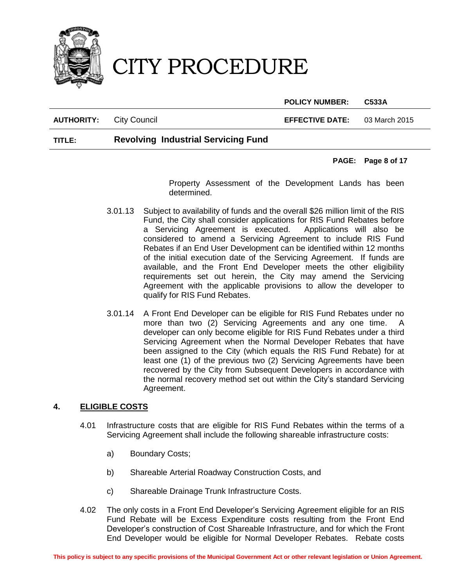

**POLICY NUMBER: C533A**

**AUTHORITY:** City Council **EFFECTIVE DATE:** 03 March 2015

### **TITLE: Revolving Industrial Servicing Fund**

#### **PAGE: Page 8 of 17**

Property Assessment of the Development Lands has been determined.

- 3.01.13 Subject to availability of funds and the overall \$26 million limit of the RIS Fund, the City shall consider applications for RIS Fund Rebates before a Servicing Agreement is executed. Applications will also be considered to amend a Servicing Agreement to include RIS Fund Rebates if an End User Development can be identified within 12 months of the initial execution date of the Servicing Agreement. If funds are available, and the Front End Developer meets the other eligibility requirements set out herein, the City may amend the Servicing Agreement with the applicable provisions to allow the developer to qualify for RIS Fund Rebates.
- 3.01.14 A Front End Developer can be eligible for RIS Fund Rebates under no more than two (2) Servicing Agreements and any one time. A developer can only become eligible for RIS Fund Rebates under a third Servicing Agreement when the Normal Developer Rebates that have been assigned to the City (which equals the RIS Fund Rebate) for at least one (1) of the previous two (2) Servicing Agreements have been recovered by the City from Subsequent Developers in accordance with the normal recovery method set out within the City's standard Servicing Agreement.

### **4. ELIGIBLE COSTS**

- 4.01 Infrastructure costs that are eligible for RIS Fund Rebates within the terms of a Servicing Agreement shall include the following shareable infrastructure costs:
	- a) Boundary Costs;
	- b) Shareable Arterial Roadway Construction Costs, and
	- c) Shareable Drainage Trunk Infrastructure Costs.
- 4.02 The only costs in a Front End Developer's Servicing Agreement eligible for an RIS Fund Rebate will be Excess Expenditure costs resulting from the Front End Developer's construction of Cost Shareable Infrastructure, and for which the Front End Developer would be eligible for Normal Developer Rebates. Rebate costs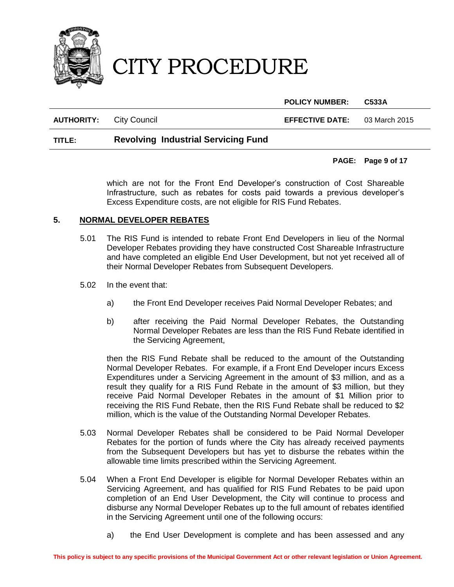

**POLICY NUMBER: C533A**

**AUTHORITY:** City Council **EFFECTIVE DATE:** 03 March 2015

### **TITLE: Revolving Industrial Servicing Fund**

#### **PAGE: Page 9 of 17**

which are not for the Front End Developer's construction of Cost Shareable Infrastructure, such as rebates for costs paid towards a previous developer's Excess Expenditure costs, are not eligible for RIS Fund Rebates.

#### **5. NORMAL DEVELOPER REBATES**

- 5.01 The RIS Fund is intended to rebate Front End Developers in lieu of the Normal Developer Rebates providing they have constructed Cost Shareable Infrastructure and have completed an eligible End User Development, but not yet received all of their Normal Developer Rebates from Subsequent Developers.
- 5.02 In the event that:
	- a) the Front End Developer receives Paid Normal Developer Rebates; and
	- b) after receiving the Paid Normal Developer Rebates, the Outstanding Normal Developer Rebates are less than the RIS Fund Rebate identified in the Servicing Agreement,

then the RIS Fund Rebate shall be reduced to the amount of the Outstanding Normal Developer Rebates. For example, if a Front End Developer incurs Excess Expenditures under a Servicing Agreement in the amount of \$3 million, and as a result they qualify for a RIS Fund Rebate in the amount of \$3 million, but they receive Paid Normal Developer Rebates in the amount of \$1 Million prior to receiving the RIS Fund Rebate, then the RIS Fund Rebate shall be reduced to \$2 million, which is the value of the Outstanding Normal Developer Rebates.

- 5.03 Normal Developer Rebates shall be considered to be Paid Normal Developer Rebates for the portion of funds where the City has already received payments from the Subsequent Developers but has yet to disburse the rebates within the allowable time limits prescribed within the Servicing Agreement.
- 5.04 When a Front End Developer is eligible for Normal Developer Rebates within an Servicing Agreement, and has qualified for RIS Fund Rebates to be paid upon completion of an End User Development, the City will continue to process and disburse any Normal Developer Rebates up to the full amount of rebates identified in the Servicing Agreement until one of the following occurs:
	- a) the End User Development is complete and has been assessed and any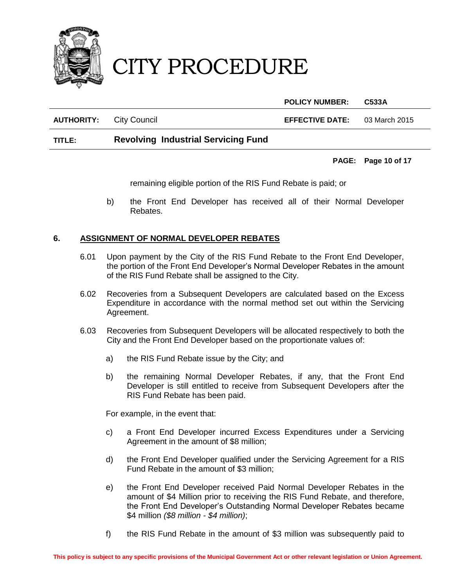

**POLICY NUMBER: C533A**

**AUTHORITY:** City Council **EFFECTIVE DATE:** 03 March 2015

# **TITLE: Revolving Industrial Servicing Fund**

# **PAGE: Page 10 of 17**

remaining eligible portion of the RIS Fund Rebate is paid; or

b) the Front End Developer has received all of their Normal Developer Rebates.

# **6. ASSIGNMENT OF NORMAL DEVELOPER REBATES**

- 6.01 Upon payment by the City of the RIS Fund Rebate to the Front End Developer, the portion of the Front End Developer's Normal Developer Rebates in the amount of the RIS Fund Rebate shall be assigned to the City.
- 6.02 Recoveries from a Subsequent Developers are calculated based on the Excess Expenditure in accordance with the normal method set out within the Servicing Agreement.
- 6.03 Recoveries from Subsequent Developers will be allocated respectively to both the City and the Front End Developer based on the proportionate values of:
	- a) the RIS Fund Rebate issue by the City; and
	- b) the remaining Normal Developer Rebates, if any, that the Front End Developer is still entitled to receive from Subsequent Developers after the RIS Fund Rebate has been paid.

For example, in the event that:

- c) a Front End Developer incurred Excess Expenditures under a Servicing Agreement in the amount of \$8 million;
- d) the Front End Developer qualified under the Servicing Agreement for a RIS Fund Rebate in the amount of \$3 million;
- e) the Front End Developer received Paid Normal Developer Rebates in the amount of \$4 Million prior to receiving the RIS Fund Rebate, and therefore, the Front End Developer's Outstanding Normal Developer Rebates became \$4 million *(\$8 million - \$4 million)*;
- f) the RIS Fund Rebate in the amount of \$3 million was subsequently paid to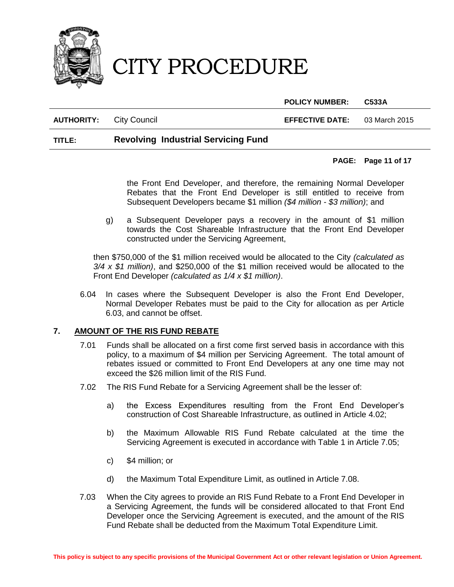

**POLICY NUMBER: C533A**

**AUTHORITY:** City Council **EFFECTIVE DATE:** 03 March 2015

### **TITLE: Revolving Industrial Servicing Fund**

#### **PAGE: Page 11 of 17**

the Front End Developer, and therefore, the remaining Normal Developer Rebates that the Front End Developer is still entitled to receive from Subsequent Developers became \$1 million *(\$4 million - \$3 million)*; and

g) a Subsequent Developer pays a recovery in the amount of \$1 million towards the Cost Shareable Infrastructure that the Front End Developer constructed under the Servicing Agreement,

then \$750,000 of the \$1 million received would be allocated to the City *(calculated as 3/4 x \$1 million)*, and \$250,000 of the \$1 million received would be allocated to the Front End Developer *(calculated as 1/4 x \$1 million)*.

6.04 In cases where the Subsequent Developer is also the Front End Developer, Normal Developer Rebates must be paid to the City for allocation as per Article 6.03, and cannot be offset.

#### **7. AMOUNT OF THE RIS FUND REBATE**

- 7.01 Funds shall be allocated on a first come first served basis in accordance with this policy, to a maximum of \$4 million per Servicing Agreement. The total amount of rebates issued or committed to Front End Developers at any one time may not exceed the \$26 million limit of the RIS Fund.
- 7.02 The RIS Fund Rebate for a Servicing Agreement shall be the lesser of:
	- a) the Excess Expenditures resulting from the Front End Developer's construction of Cost Shareable Infrastructure, as outlined in Article 4.02;
	- b) the Maximum Allowable RIS Fund Rebate calculated at the time the Servicing Agreement is executed in accordance with Table 1 in Article 7.05;
	- c) \$4 million; or
	- d) the Maximum Total Expenditure Limit, as outlined in Article 7.08.
- 7.03 When the City agrees to provide an RIS Fund Rebate to a Front End Developer in a Servicing Agreement, the funds will be considered allocated to that Front End Developer once the Servicing Agreement is executed, and the amount of the RIS Fund Rebate shall be deducted from the Maximum Total Expenditure Limit.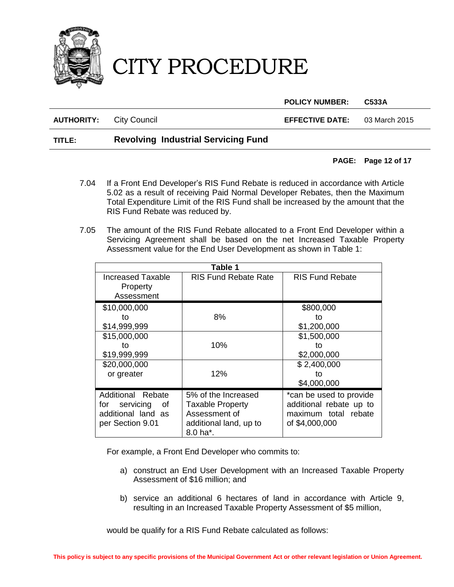

**POLICY NUMBER: C533A**

**AUTHORITY:** City Council **EFFECTIVE DATE:** 03 March 2015

## **TITLE: Revolving Industrial Servicing Fund**

#### **PAGE: Page 12 of 17**

- 7.04 If a Front End Developer's RIS Fund Rebate is reduced in accordance with Article 5.02 as a result of receiving Paid Normal Developer Rebates, then the Maximum Total Expenditure Limit of the RIS Fund shall be increased by the amount that the RIS Fund Rebate was reduced by.
- 7.05 The amount of the RIS Fund Rebate allocated to a Front End Developer within a Servicing Agreement shall be based on the net Increased Taxable Property Assessment value for the End User Development as shown in Table 1:

| Table 1                                                                            |                                                                                                       |                                                                                              |
|------------------------------------------------------------------------------------|-------------------------------------------------------------------------------------------------------|----------------------------------------------------------------------------------------------|
| <b>Increased Taxable</b><br>Property<br>Assessment                                 | <b>RIS Fund Rebate Rate</b>                                                                           | <b>RIS Fund Rebate</b>                                                                       |
| \$10,000,000<br>to<br>\$14,999,999                                                 | 8%                                                                                                    | \$800,000<br>to<br>\$1,200,000                                                               |
| \$15,000,000<br>to<br>\$19,999,999                                                 | 10%                                                                                                   | \$1,500,000<br>to<br>\$2,000,000                                                             |
| \$20,000,000<br>or greater                                                         | 12%                                                                                                   | \$2,400,000<br>to<br>\$4,000,000                                                             |
| Additional Rebate<br>for servicing<br>of<br>additional land as<br>per Section 9.01 | 5% of the Increased<br><b>Taxable Property</b><br>Assessment of<br>additional land, up to<br>8.0 ha*. | *can be used to provide<br>additional rebate up to<br>maximum total rebate<br>of \$4,000,000 |

For example, a Front End Developer who commits to:

- a) construct an End User Development with an Increased Taxable Property Assessment of \$16 million; and
- b) service an additional 6 hectares of land in accordance with Article 9, resulting in an Increased Taxable Property Assessment of \$5 million,

would be qualify for a RIS Fund Rebate calculated as follows: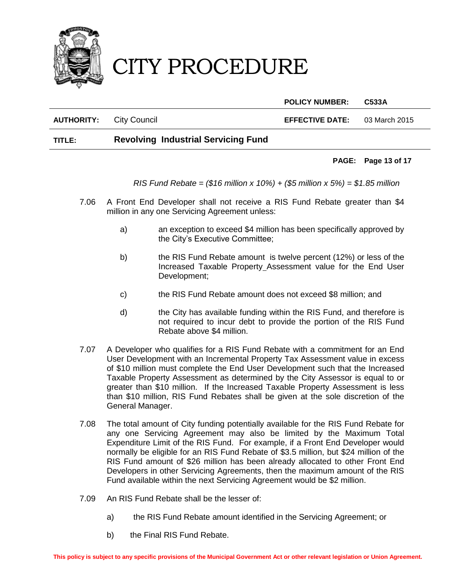

**POLICY NUMBER: C533A**

**AUTHORITY:** City Council **EFFECTIVE DATE:** 03 March 2015

# **TITLE: Revolving Industrial Servicing Fund**

#### **PAGE: Page 13 of 17**

*RIS Fund Rebate = (\$16 million x 10%) + (\$5 million x 5%) = \$1.85 million*

- 7.06 A Front End Developer shall not receive a RIS Fund Rebate greater than \$4 million in any one Servicing Agreement unless:
	- a) an exception to exceed \$4 million has been specifically approved by the City's Executive Committee;
	- b) the RIS Fund Rebate amount is twelve percent (12%) or less of the Increased Taxable Property Assessment value for the End User Development;
	- c) the RIS Fund Rebate amount does not exceed \$8 million; and
	- d) the City has available funding within the RIS Fund, and therefore is not required to incur debt to provide the portion of the RIS Fund Rebate above \$4 million.
- 7.07 A Developer who qualifies for a RIS Fund Rebate with a commitment for an End User Development with an Incremental Property Tax Assessment value in excess of \$10 million must complete the End User Development such that the Increased Taxable Property Assessment as determined by the City Assessor is equal to or greater than \$10 million. If the Increased Taxable Property Assessment is less than \$10 million, RIS Fund Rebates shall be given at the sole discretion of the General Manager.
- 7.08 The total amount of City funding potentially available for the RIS Fund Rebate for any one Servicing Agreement may also be limited by the Maximum Total Expenditure Limit of the RIS Fund. For example, if a Front End Developer would normally be eligible for an RIS Fund Rebate of \$3.5 million, but \$24 million of the RIS Fund amount of \$26 million has been already allocated to other Front End Developers in other Servicing Agreements, then the maximum amount of the RIS Fund available within the next Servicing Agreement would be \$2 million.
- 7.09 An RIS Fund Rebate shall be the lesser of:
	- a) the RIS Fund Rebate amount identified in the Servicing Agreement; or
	- b) the Final RIS Fund Rebate.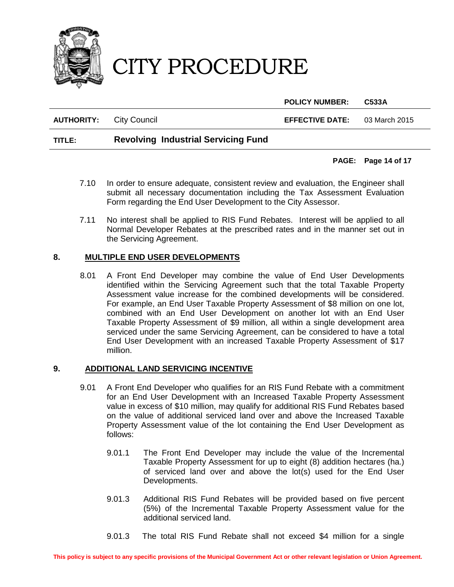

**POLICY NUMBER: C533A**

**AUTHORITY:** City Council **EFFECTIVE DATE:** 03 March 2015

# **TITLE: Revolving Industrial Servicing Fund**

### **PAGE: Page 14 of 17**

- 7.10 In order to ensure adequate, consistent review and evaluation, the Engineer shall submit all necessary documentation including the Tax Assessment Evaluation Form regarding the End User Development to the City Assessor.
- 7.11 No interest shall be applied to RIS Fund Rebates. Interest will be applied to all Normal Developer Rebates at the prescribed rates and in the manner set out in the Servicing Agreement.

#### **8. MULTIPLE END USER DEVELOPMENTS**

8.01 A Front End Developer may combine the value of End User Developments identified within the Servicing Agreement such that the total Taxable Property Assessment value increase for the combined developments will be considered. For example, an End User Taxable Property Assessment of \$8 million on one lot, combined with an End User Development on another lot with an End User Taxable Property Assessment of \$9 million, all within a single development area serviced under the same Servicing Agreement, can be considered to have a total End User Development with an increased Taxable Property Assessment of \$17 million.

### **9. ADDITIONAL LAND SERVICING INCENTIVE**

- 9.01 A Front End Developer who qualifies for an RIS Fund Rebate with a commitment for an End User Development with an Increased Taxable Property Assessment value in excess of \$10 million, may qualify for additional RIS Fund Rebates based on the value of additional serviced land over and above the Increased Taxable Property Assessment value of the lot containing the End User Development as follows:
	- 9.01.1 The Front End Developer may include the value of the Incremental Taxable Property Assessment for up to eight (8) addition hectares (ha.) of serviced land over and above the lot(s) used for the End User Developments.
	- 9.01.3 Additional RIS Fund Rebates will be provided based on five percent (5%) of the Incremental Taxable Property Assessment value for the additional serviced land.
	- 9.01.3 The total RIS Fund Rebate shall not exceed \$4 million for a single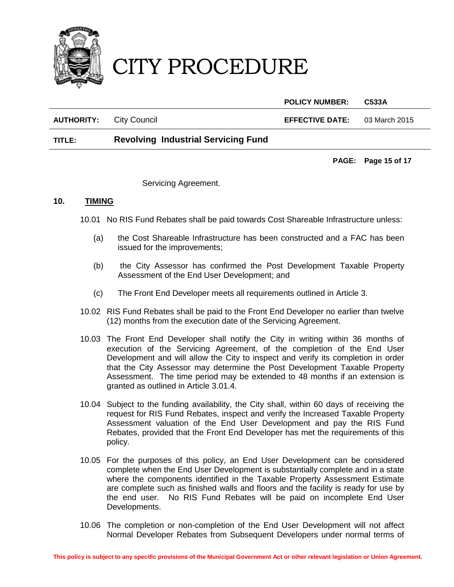

**POLICY NUMBER: C533A AUTHORITY:** City Council **EFFECTIVE DATE:** 03 March 2015

# **TITLE: Revolving Industrial Servicing Fund**

**PAGE: Page 15 of 17**

Servicing Agreement.

#### **10. TIMING**

- 10.01 No RIS Fund Rebates shall be paid towards Cost Shareable Infrastructure unless:
	- (a) the Cost Shareable Infrastructure has been constructed and a FAC has been issued for the improvements;
	- (b) the City Assessor has confirmed the Post Development Taxable Property Assessment of the End User Development; and
	- (c) The Front End Developer meets all requirements outlined in Article 3.
- 10.02 RIS Fund Rebates shall be paid to the Front End Developer no earlier than twelve (12) months from the execution date of the Servicing Agreement.
- 10.03 The Front End Developer shall notify the City in writing within 36 months of execution of the Servicing Agreement, of the completion of the End User Development and will allow the City to inspect and verify its completion in order that the City Assessor may determine the Post Development Taxable Property Assessment. The time period may be extended to 48 months if an extension is granted as outlined in Article 3.01.4.
- 10.04 Subject to the funding availability, the City shall, within 60 days of receiving the request for RIS Fund Rebates, inspect and verify the Increased Taxable Property Assessment valuation of the End User Development and pay the RIS Fund Rebates, provided that the Front End Developer has met the requirements of this policy.
- 10.05 For the purposes of this policy, an End User Development can be considered complete when the End User Development is substantially complete and in a state where the components identified in the Taxable Property Assessment Estimate are complete such as finished walls and floors and the facility is ready for use by the end user. No RIS Fund Rebates will be paid on incomplete End User Developments.
- 10.06 The completion or non-completion of the End User Development will not affect Normal Developer Rebates from Subsequent Developers under normal terms of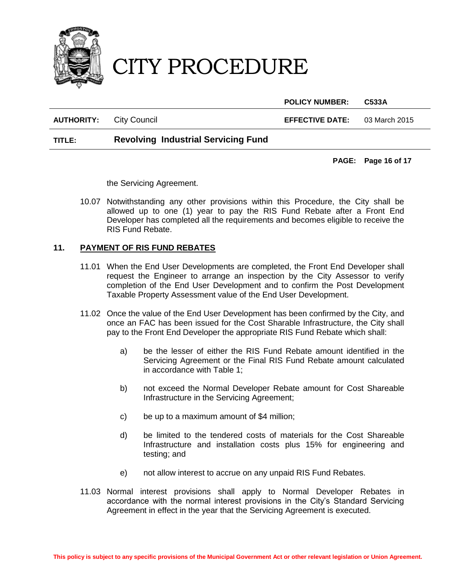

**POLICY NUMBER: C533A**

**AUTHORITY:** City Council **EFFECTIVE DATE:** 03 March 2015

## **TITLE: Revolving Industrial Servicing Fund**

**PAGE: Page 16 of 17**

the Servicing Agreement.

10.07 Notwithstanding any other provisions within this Procedure, the City shall be allowed up to one (1) year to pay the RIS Fund Rebate after a Front End Developer has completed all the requirements and becomes eligible to receive the RIS Fund Rebate.

### **11. PAYMENT OF RIS FUND REBATES**

- 11.01 When the End User Developments are completed, the Front End Developer shall request the Engineer to arrange an inspection by the City Assessor to verify completion of the End User Development and to confirm the Post Development Taxable Property Assessment value of the End User Development.
- 11.02 Once the value of the End User Development has been confirmed by the City, and once an FAC has been issued for the Cost Sharable Infrastructure, the City shall pay to the Front End Developer the appropriate RIS Fund Rebate which shall:
	- a) be the lesser of either the RIS Fund Rebate amount identified in the Servicing Agreement or the Final RIS Fund Rebate amount calculated in accordance with Table 1;
	- b) not exceed the Normal Developer Rebate amount for Cost Shareable Infrastructure in the Servicing Agreement;
	- c) be up to a maximum amount of \$4 million;
	- d) be limited to the tendered costs of materials for the Cost Shareable Infrastructure and installation costs plus 15% for engineering and testing; and
	- e) not allow interest to accrue on any unpaid RIS Fund Rebates.
- 11.03 Normal interest provisions shall apply to Normal Developer Rebates in accordance with the normal interest provisions in the City's Standard Servicing Agreement in effect in the year that the Servicing Agreement is executed.